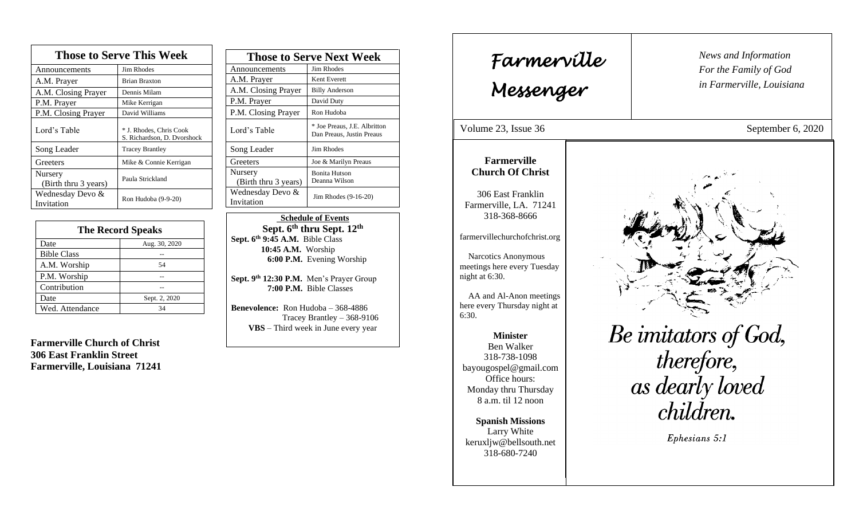| <b>Those to Serve This Week</b> |                                                        |
|---------------------------------|--------------------------------------------------------|
| Announcements                   | <b>Jim Rhodes</b>                                      |
| A.M. Prayer                     | <b>Brian Braxton</b>                                   |
| A.M. Closing Prayer             | Dennis Milam                                           |
| P.M. Prayer                     | Mike Kerrigan                                          |
| P.M. Closing Prayer             | David Williams                                         |
| Lord's Table                    | * J. Rhodes, Chris Cook<br>S. Richardson, D. Dvorshock |
| Song Leader                     | <b>Tracey Brantley</b>                                 |
| Greeters                        | Mike & Connie Kerrigan                                 |
| Nursery<br>(Birth thru 3 years) | Paula Strickland                                       |
| Wednesday Devo &<br>Invitation  | Ron Hudoba (9-9-20)                                    |

| <b>The Record Speaks</b> |               |
|--------------------------|---------------|
| Date                     | Aug. 30, 2020 |
| <b>Bible Class</b>       |               |
| A.M. Worship             | 54            |
| P.M. Worship             |               |
| Contribution             |               |
| Date                     | Sept. 2, 2020 |
| Wed. Attendance          | 34            |

**Farmerville Church of Christ 306 East Franklin Street Farmerville, Louisiana 71241**

| <b>Those to Serve Next Week</b> |                                                           |
|---------------------------------|-----------------------------------------------------------|
| Announcements                   | <b>Jim Rhodes</b>                                         |
| A.M. Prayer                     | Kent Everett                                              |
| A.M. Closing Prayer             | <b>Billy Anderson</b>                                     |
| P.M. Prayer                     | David Duty                                                |
| P.M. Closing Prayer             | Ron Hudoba                                                |
| Lord's Table                    | * Joe Preaus, J.E. Albritton<br>Dan Preaus, Justin Preaus |
| Song Leader                     | Jim Rhodes                                                |
| Greeters                        | Joe & Marilyn Preaus                                      |
| Nursery<br>(Birth thru 3 years) | <b>Bonita Hutson</b><br>Deanna Wilson                     |
| Wednesday Devo &<br>Invitation  | Jim Rhodes (9-16-20)                                      |

 **Schedule of Events Sept. 6 th thru Sept. 12th Sept. 6th 9:45 A.M.** Bible Class **10:45 A.M.** Worship  **6:00 P.M.** Evening Worship

**Sept. 9 th 12:30 P.M.** Men's Prayer Group **7:00 P.M.** Bible Classes

**Benevolence:** Ron Hudoba – 368-4886 Tracey Brantley – 368-9106 **VBS** – Third week in June every year

*News and Information* **Farmerville**  $\parallel$  News and *For the Family of God in Farmerville, Louisiana Messenger*  Volume 23, Issue 36 September 6, 2020 , 2015 **Farmerville Church Of Christ** 306 East Franklin Farmerville, LA. 71241 318-368-8666 farmervillechurchofchrist.org Narcotics Anonymous meetings here every Tuesday night at 6:30. AA and Al-Anon meetings here every Thursday night at 6:30. Be imitators of God, **Minister** Ben Walker therefore, 318-738-1098 bayougospel@gmail.com as dearly loved Office hours: Monday thru Thursday 8 a.m. til 12 noon *children.* **Spanish Missions** Larry White Ephesians 5:1 keruxljw@bellsouth.net 318-680-7240